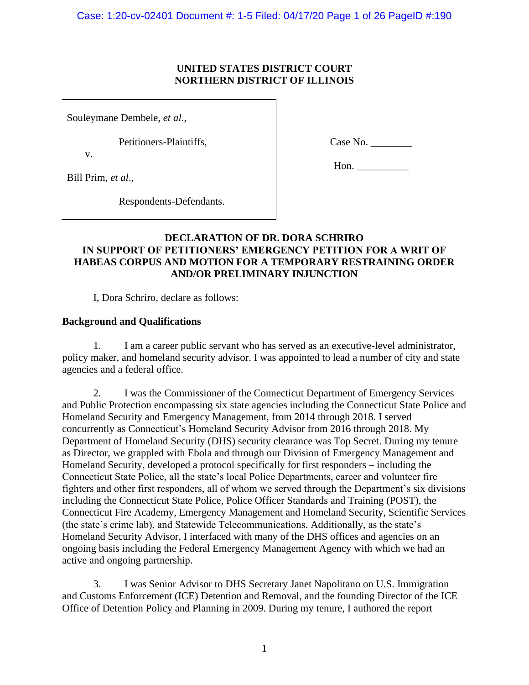### **UNITED STATES DISTRICT COURT NORTHERN DISTRICT OF ILLINOIS**

Souleymane Dembele, *et al.*,

Petitioners-Plaintiffs,

v.

Case No. \_\_\_\_\_\_\_\_

Bill Prim, *et al*.,

Hon.

Respondents-Defendants.

# **DECLARATION OF DR. DORA SCHRIRO IN SUPPORT OF PETITIONERS' EMERGENCY PETITION FOR A WRIT OF HABEAS CORPUS AND MOTION FOR A TEMPORARY RESTRAINING ORDER AND/OR PRELIMINARY INJUNCTION**

I, Dora Schriro, declare as follows:

### **Background and Qualifications**

1. I am a career public servant who has served as an executive-level administrator, policy maker, and homeland security advisor. I was appointed to lead a number of city and state agencies and a federal office.

2. I was the Commissioner of the Connecticut Department of Emergency Services and Public Protection encompassing six state agencies including the Connecticut State Police and Homeland Security and Emergency Management, from 2014 through 2018. I served concurrently as Connecticut's Homeland Security Advisor from 2016 through 2018. My Department of Homeland Security (DHS) security clearance was Top Secret. During my tenure as Director, we grappled with Ebola and through our Division of Emergency Management and Homeland Security, developed a protocol specifically for first responders – including the Connecticut State Police, all the state's local Police Departments, career and volunteer fire fighters and other first responders, all of whom we served through the Department's six divisions including the Connecticut State Police, Police Officer Standards and Training (POST), the Connecticut Fire Academy, Emergency Management and Homeland Security, Scientific Services (the state's crime lab), and Statewide Telecommunications. Additionally, as the state's Homeland Security Advisor, I interfaced with many of the DHS offices and agencies on an ongoing basis including the Federal Emergency Management Agency with which we had an active and ongoing partnership.

3. I was Senior Advisor to DHS Secretary Janet Napolitano on U.S. Immigration and Customs Enforcement (ICE) Detention and Removal, and the founding Director of the ICE Office of Detention Policy and Planning in 2009. During my tenure, I authored the report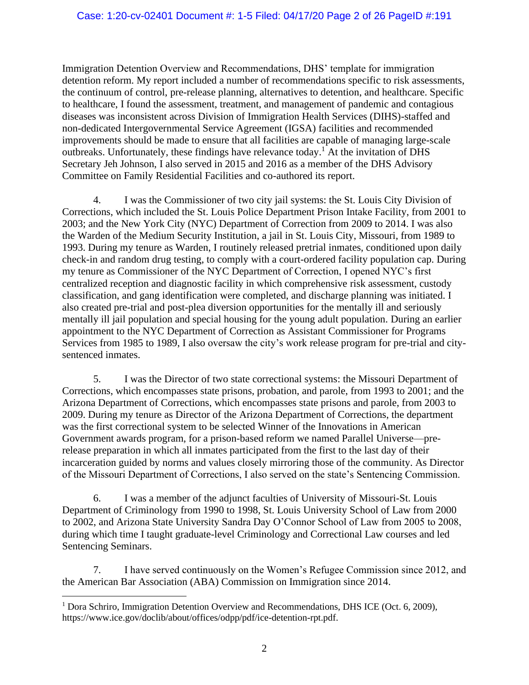Immigration Detention Overview and Recommendations, DHS' template for immigration detention reform. My report included a number of recommendations specific to risk assessments, the continuum of control, pre-release planning, alternatives to detention, and healthcare. Specific to healthcare, I found the assessment, treatment, and management of pandemic and contagious diseases was inconsistent across Division of Immigration Health Services (DIHS)-staffed and non-dedicated Intergovernmental Service Agreement (IGSA) facilities and recommended improvements should be made to ensure that all facilities are capable of managing large-scale outbreaks. Unfortunately, these findings have relevance today.<sup>1</sup> At the invitation of DHS Secretary Jeh Johnson, I also served in 2015 and 2016 as a member of the DHS Advisory Committee on Family Residential Facilities and co-authored its report.

4. I was the Commissioner of two city jail systems: the St. Louis City Division of Corrections, which included the St. Louis Police Department Prison Intake Facility, from 2001 to 2003; and the New York City (NYC) Department of Correction from 2009 to 2014. I was also the Warden of the Medium Security Institution, a jail in St. Louis City, Missouri, from 1989 to 1993. During my tenure as Warden, I routinely released pretrial inmates, conditioned upon daily check-in and random drug testing, to comply with a court-ordered facility population cap. During my tenure as Commissioner of the NYC Department of Correction, I opened NYC's first centralized reception and diagnostic facility in which comprehensive risk assessment, custody classification, and gang identification were completed, and discharge planning was initiated. I also created pre-trial and post-plea diversion opportunities for the mentally ill and seriously mentally ill jail population and special housing for the young adult population. During an earlier appointment to the NYC Department of Correction as Assistant Commissioner for Programs Services from 1985 to 1989, I also oversaw the city's work release program for pre-trial and citysentenced inmates.

5. I was the Director of two state correctional systems: the Missouri Department of Corrections, which encompasses state prisons, probation, and parole, from 1993 to 2001; and the Arizona Department of Corrections, which encompasses state prisons and parole, from 2003 to 2009. During my tenure as Director of the Arizona Department of Corrections, the department was the first correctional system to be selected Winner of the Innovations in American Government awards program, for a prison-based reform we named Parallel Universe—prerelease preparation in which all inmates participated from the first to the last day of their incarceration guided by norms and values closely mirroring those of the community. As Director of the Missouri Department of Corrections, I also served on the state's Sentencing Commission.

6. I was a member of the adjunct faculties of University of Missouri-St. Louis Department of Criminology from 1990 to 1998, St. Louis University School of Law from 2000 to 2002, and Arizona State University Sandra Day O'Connor School of Law from 2005 to 2008, during which time I taught graduate-level Criminology and Correctional Law courses and led Sentencing Seminars.

7. I have served continuously on the Women's Refugee Commission since 2012, and the American Bar Association (ABA) Commission on Immigration since 2014.

<sup>&</sup>lt;sup>1</sup> Dora Schriro, Immigration Detention Overview and Recommendations, DHS ICE (Oct. 6, 2009), https://www.ice.gov/doclib/about/offices/odpp/pdf/ice-detention-rpt.pdf.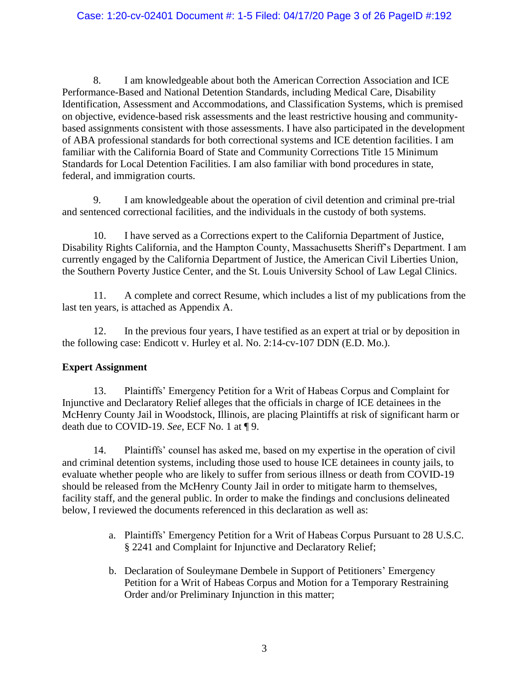### Case: 1:20-cv-02401 Document #: 1-5 Filed: 04/17/20 Page 3 of 26 PageID #:192

8. I am knowledgeable about both the American Correction Association and ICE Performance-Based and National Detention Standards, including Medical Care, Disability Identification, Assessment and Accommodations, and Classification Systems, which is premised on objective, evidence-based risk assessments and the least restrictive housing and communitybased assignments consistent with those assessments. I have also participated in the development of ABA professional standards for both correctional systems and ICE detention facilities. I am familiar with the California Board of State and Community Corrections Title 15 Minimum Standards for Local Detention Facilities. I am also familiar with bond procedures in state, federal, and immigration courts.

9. I am knowledgeable about the operation of civil detention and criminal pre-trial and sentenced correctional facilities, and the individuals in the custody of both systems.

10. I have served as a Corrections expert to the California Department of Justice, Disability Rights California, and the Hampton County, Massachusetts Sheriff's Department. I am currently engaged by the California Department of Justice, the American Civil Liberties Union, the Southern Poverty Justice Center, and the St. Louis University School of Law Legal Clinics.

11. A complete and correct Resume, which includes a list of my publications from the last ten years, is attached as Appendix A.

12. In the previous four years, I have testified as an expert at trial or by deposition in the following case: Endicott v. Hurley et al. No. 2:14-cv-107 DDN (E.D. Mo.).

### **Expert Assignment**

13. Plaintiffs' Emergency Petition for a Writ of Habeas Corpus and Complaint for Injunctive and Declaratory Relief alleges that the officials in charge of ICE detainees in the McHenry County Jail in Woodstock, Illinois, are placing Plaintiffs at risk of significant harm or death due to COVID-19. *See*, ECF No. 1 at ¶ 9.

14. Plaintiffs' counsel has asked me, based on my expertise in the operation of civil and criminal detention systems, including those used to house ICE detainees in county jails, to evaluate whether people who are likely to suffer from serious illness or death from COVID-19 should be released from the McHenry County Jail in order to mitigate harm to themselves, facility staff, and the general public. In order to make the findings and conclusions delineated below, I reviewed the documents referenced in this declaration as well as:

- a. Plaintiffs' Emergency Petition for a Writ of Habeas Corpus Pursuant to 28 U.S.C. § 2241 and Complaint for Injunctive and Declaratory Relief;
- b. Declaration of Souleymane Dembele in Support of Petitioners' Emergency Petition for a Writ of Habeas Corpus and Motion for a Temporary Restraining Order and/or Preliminary Injunction in this matter;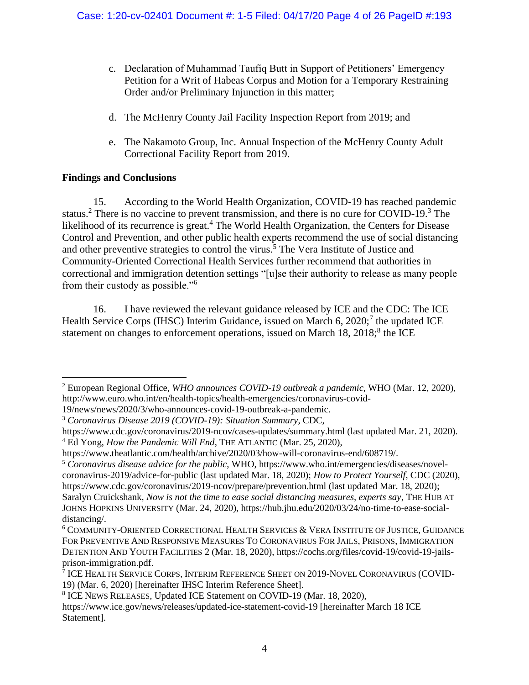- c. Declaration of Muhammad Taufiq Butt in Support of Petitioners' Emergency Petition for a Writ of Habeas Corpus and Motion for a Temporary Restraining Order and/or Preliminary Injunction in this matter;
- d. The McHenry County Jail Facility Inspection Report from 2019; and
- e. The Nakamoto Group, Inc. Annual Inspection of the McHenry County Adult Correctional Facility Report from 2019.

# **Findings and Conclusions**

15. According to the World Health Organization, COVID-19 has reached pandemic status.<sup>2</sup> There is no vaccine to prevent transmission, and there is no cure for COVID-19.<sup>3</sup> The likelihood of its recurrence is great.<sup>4</sup> The World Health Organization, the Centers for Disease Control and Prevention, and other public health experts recommend the use of social distancing and other preventive strategies to control the virus.<sup>5</sup> The Vera Institute of Justice and Community-Oriented Correctional Health Services further recommend that authorities in correctional and immigration detention settings "[u]se their authority to release as many people from their custody as possible."<sup>6</sup>

16. I have reviewed the relevant guidance released by ICE and the CDC: The ICE Health Service Corps (IHSC) Interim Guidance, issued on March 6, 2020;<sup>7</sup> the updated ICE statement on changes to enforcement operations, issued on March 18, 2018;<sup>8</sup> the ICE

<sup>2</sup> European Regional Office, *WHO announces COVID-19 outbreak a pandemic*, WHO (Mar. 12, 2020), http://www.euro.who.int/en/health-topics/health-emergencies/coronavirus-covid-19/news/news/2020/3/who-announces-covid-19-outbreak-a-pandemic.

<sup>3</sup> *Coronavirus Disease 2019 (COVID-19): Situation Summary*, CDC,

https://www.cdc.gov/coronavirus/2019-ncov/cases-updates/summary.html (last updated Mar. 21, 2020). <sup>4</sup> Ed Yong, *How the Pandemic Will End*, THE ATLANTIC (Mar. 25, 2020),

https://www.theatlantic.com/health/archive/2020/03/how-will-coronavirus-end/608719/.

<sup>5</sup> *Coronavirus disease advice for the public*, WHO, https://www.who.int/emergencies/diseases/novelcoronavirus-2019/advice-for-public (last updated Mar. 18, 2020); *How to Protect Yourself*, CDC (2020), https://www.cdc.gov/coronavirus/2019-ncov/prepare/prevention.html (last updated Mar. 18, 2020); Saralyn Cruickshank, *Now is not the time to ease social distancing measures, experts say*, THE HUB AT JOHNS HOPKINS UNIVERSITY (Mar. 24, 2020), https://hub.jhu.edu/2020/03/24/no-time-to-ease-socialdistancing/.

<sup>6</sup> COMMUNITY-ORIENTED CORRECTIONAL HEALTH SERVICES & VERA INSTITUTE OF JUSTICE, GUIDANCE FOR PREVENTIVE AND RESPONSIVE MEASURES TO CORONAVIRUS FOR JAILS, PRISONS, IMMIGRATION DETENTION AND YOUTH FACILITIES 2 (Mar. 18, 2020), https://cochs.org/files/covid-19/covid-19-jailsprison-immigration.pdf.

<sup>7</sup> ICE HEALTH SERVICE CORPS, INTERIM REFERENCE SHEET ON 2019-NOVEL CORONAVIRUS (COVID-19) (Mar. 6, 2020) [hereinafter IHSC Interim Reference Sheet].

<sup>8</sup> ICE NEWS RELEASES, Updated ICE Statement on COVID-19 (Mar. 18, 2020),

https://www.ice.gov/news/releases/updated-ice-statement-covid-19 [hereinafter March 18 ICE Statement].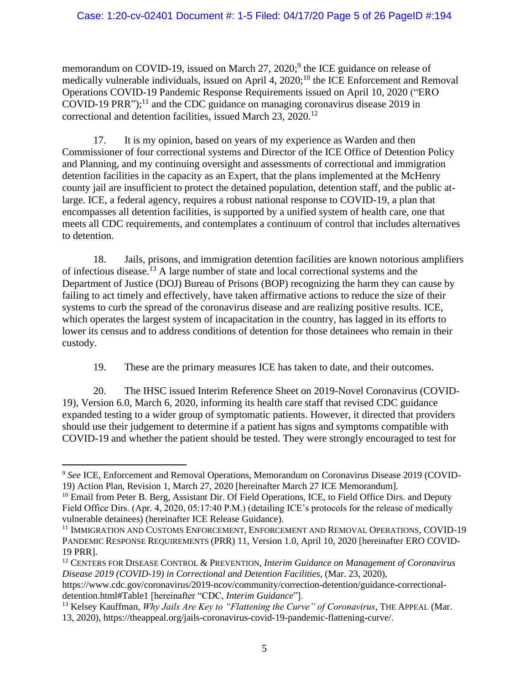memorandum on COVID-19, issued on March 27, 2020;<sup>9</sup> the ICE guidance on release of medically vulnerable individuals, issued on April 4,  $2020$ ;<sup>10</sup> the ICE Enforcement and Removal Operations COVID-19 Pandemic Response Requirements issued on April 10, 2020 ("ERO COVID-19 PRR");<sup>11</sup> and the CDC guidance on managing coronavirus disease 2019 in correctional and detention facilities, issued March 23, 2020. 12

17. It is my opinion, based on years of my experience as Warden and then Commissioner of four correctional systems and Director of the ICE Office of Detention Policy and Planning, and my continuing oversight and assessments of correctional and immigration detention facilities in the capacity as an Expert, that the plans implemented at the McHenry county jail are insufficient to protect the detained population, detention staff, and the public atlarge. ICE, a federal agency, requires a robust national response to COVID-19, a plan that encompasses all detention facilities, is supported by a unified system of health care, one that meets all CDC requirements, and contemplates a continuum of control that includes alternatives to detention.

18. Jails, prisons, and immigration detention facilities are known notorious amplifiers of infectious disease.<sup>13</sup> A large number of state and local correctional systems and the Department of Justice (DOJ) Bureau of Prisons (BOP) recognizing the harm they can cause by failing to act timely and effectively, have taken affirmative actions to reduce the size of their systems to curb the spread of the coronavirus disease and are realizing positive results. ICE, which operates the largest system of incapacitation in the country, has lagged in its efforts to lower its census and to address conditions of detention for those detainees who remain in their custody.

19. These are the primary measures ICE has taken to date, and their outcomes.

20. The IHSC issued Interim Reference Sheet on 2019-Novel Coronavirus (COVID-19), Version 6.0, March 6, 2020, informing its health care staff that revised CDC guidance expanded testing to a wider group of symptomatic patients. However, it directed that providers should use their judgement to determine if a patient has signs and symptoms compatible with COVID-19 and whether the patient should be tested. They were strongly encouraged to test for

<sup>9</sup> *See* ICE, Enforcement and Removal Operations, Memorandum on Coronavirus Disease 2019 (COVID-19) Action Plan, Revision 1, March 27, 2020 [hereinafter March 27 ICE Memorandum].

<sup>&</sup>lt;sup>10</sup> Email from Peter B. Berg, Assistant Dir. Of Field Operations, ICE, to Field Office Dirs. and Deputy Field Office Dirs. (Apr. 4, 2020, 05:17:40 P.M.) (detailing ICE's protocols for the release of medically vulnerable detainees) (hereinafter ICE Release Guidance).

<sup>&</sup>lt;sup>11</sup> IMMIGRATION AND CUSTOMS ENFORCEMENT, ENFORCEMENT AND REMOVAL OPERATIONS, COVID-19 PANDEMIC RESPONSE REQUIREMENTS (PRR) 11, Version 1.0, April 10, 2020 [hereinafter ERO COVID-19 PRR].

<sup>12</sup> CENTERS FOR DISEASE CONTROL & PREVENTION, *Interim Guidance on Management of Coronavirus Disease 2019 (COVID-19) in Correctional and Detention Facilities*, (Mar. 23, 2020),

[https://www.cdc.gov/coronavirus/2019-ncov/community/correction-detention/guidance-correctional](https://www.cdc.gov/coronavirus/2019-ncov/community/correction-detention/guidance-correctional-detention.html#Table1)[detention.html#Table1](https://www.cdc.gov/coronavirus/2019-ncov/community/correction-detention/guidance-correctional-detention.html#Table1) [hereinafter "CDC, *Interim Guidance*"].

<sup>&</sup>lt;sup>13</sup> Kelsey Kauffman, *Why Jails Are Key to "Flattening the Curve" of Coronavirus*, THE APPEAL (Mar. 13, 2020), https://theappeal.org/jails-coronavirus-covid-19-pandemic-flattening-curve/.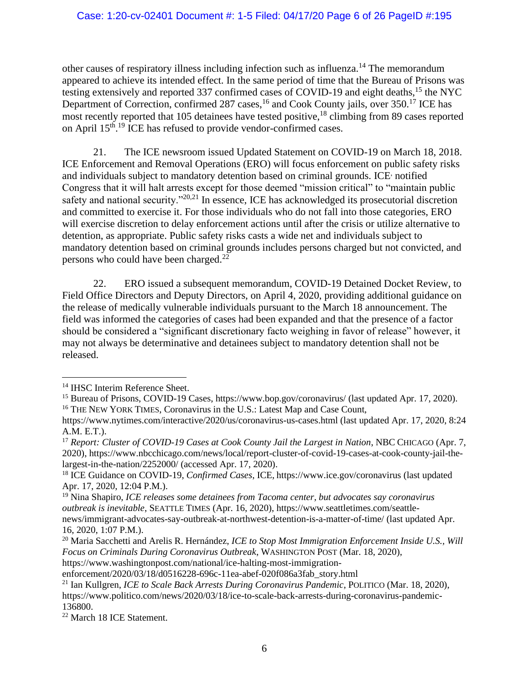other causes of respiratory illness including infection such as influenza.<sup>14</sup> The memorandum appeared to achieve its intended effect. In the same period of time that the Bureau of Prisons was testing extensively and reported 337 confirmed cases of COVID-19 and eight deaths,<sup>15</sup> the NYC Department of Correction, confirmed 287 cases,<sup>16</sup> and Cook County jails, over 350.<sup>17</sup> ICE has most recently reported that 105 detainees have tested positive,  $18$  climbing from 89 cases reported on April 15<sup>th</sup>.<sup>19</sup> ICE has refused to provide vendor-confirmed cases.

21. The ICE newsroom issued Updated Statement on COVID-19 on March 18, 2018. ICE Enforcement and Removal Operations (ERO) will focus enforcement on public safety risks and individuals subject to mandatory detention based on criminal grounds. ICE<sup>,</sup> notified Congress that it will halt arrests except for those deemed "mission critical" to "maintain public safety and national security."<sup>20,21</sup> In essence, ICE has acknowledged its prosecutorial discretion and committed to exercise it. For those individuals who do not fall into those categories, ERO will exercise discretion to delay enforcement actions until after the crisis or utilize alternative to detention, as appropriate. Public safety risks casts a wide net and individuals subject to mandatory detention based on criminal grounds includes persons charged but not convicted, and persons who could have been charged.<sup>22</sup>

22. ERO issued a subsequent memorandum, COVID-19 Detained Docket Review, to Field Office Directors and Deputy Directors, on April 4, 2020, providing additional guidance on the release of medically vulnerable individuals pursuant to the March 18 announcement. The field was informed the categories of cases had been expanded and that the presence of a factor should be considered a "significant discretionary facto weighing in favor of release" however, it may not always be determinative and detainees subject to mandatory detention shall not be released.

https://www.washingtonpost.com/national/ice-halting-most-immigration-

<sup>&</sup>lt;sup>14</sup> IHSC Interim Reference Sheet.

<sup>&</sup>lt;sup>15</sup> Bureau of Prisons, COVID-19 Cases, https://www.bop.gov/coronavirus/ (last updated Apr. 17, 2020). <sup>16</sup> THE NEW YORK TIMES, Coronavirus in the U.S.: Latest Map and Case Count,

https://www.nytimes.com/interactive/2020/us/coronavirus-us-cases.html (last updated Apr. 17, 2020, 8:24 A.M. E.T.).

<sup>&</sup>lt;sup>17</sup> *Report: Cluster of COVID-19 Cases at Cook County Jail the Largest in Nation*, NBC CHICAGO (Apr. 7, 2020), https://www.nbcchicago.com/news/local/report-cluster-of-covid-19-cases-at-cook-county-jail-thelargest-in-the-nation/2252000/ (accessed Apr. 17, 2020).

<sup>18</sup> ICE Guidance on COVID-19, *Confirmed Cases*, ICE, <https://www.ice.gov/coronavirus> (last updated Apr. 17, 2020, 12:04 P.M.).

<sup>19</sup> Nina Shapiro, *ICE releases some detainees from Tacoma center, but advocates say coronavirus outbreak is inevitable*, SEATTLE TIMES (Apr. 16, 2020), https://www.seattletimes.com/seattlenews/immigrant-advocates-say-outbreak-at-northwest-detention-is-a-matter-of-time/ (last updated Apr. 16, 2020, 1:07 P.M.).

<sup>&</sup>lt;sup>20</sup> Maria Sacchetti and Arelis R. Hernández, *ICE to Stop Most Immigration Enforcement Inside U.S.*, Will *Focus on Criminals During Coronavirus Outbreak*, WASHINGTON POST (Mar. 18, 2020),

enforcement/2020/03/18/d0516228-696c-11ea-abef-020f086a3fab\_story.html

<sup>21</sup> Ian Kullgren, *ICE to Scale Back Arrests During Coronavirus Pandemic*, POLITICO (Mar. 18, 2020), https://www.politico.com/news/2020/03/18/ice-to-scale-back-arrests-during-coronavirus-pandemic-136800.

<sup>22</sup> March 18 ICE Statement.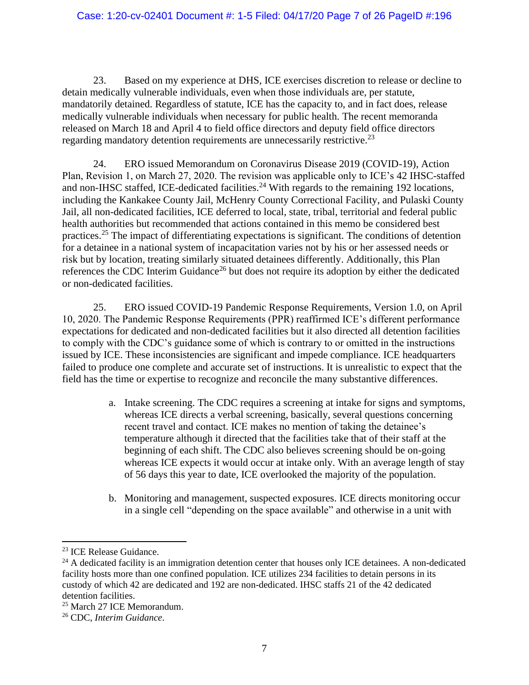23. Based on my experience at DHS, ICE exercises discretion to release or decline to detain medically vulnerable individuals, even when those individuals are, per statute, mandatorily detained. Regardless of statute, ICE has the capacity to, and in fact does, release medically vulnerable individuals when necessary for public health. The recent memoranda released on March 18 and April 4 to field office directors and deputy field office directors regarding mandatory detention requirements are unnecessarily restrictive.<sup>23</sup>

24. ERO issued Memorandum on Coronavirus Disease 2019 (COVID-19), Action Plan, Revision 1, on March 27, 2020. The revision was applicable only to ICE's 42 IHSC-staffed and non-IHSC staffed, ICE-dedicated facilities.<sup>24</sup> With regards to the remaining 192 locations, including the Kankakee County Jail, McHenry County Correctional Facility, and Pulaski County Jail, all non-dedicated facilities, ICE deferred to local, state, tribal, territorial and federal public health authorities but recommended that actions contained in this memo be considered best practices.<sup>25</sup> The impact of differentiating expectations is significant. The conditions of detention for a detainee in a national system of incapacitation varies not by his or her assessed needs or risk but by location, treating similarly situated detainees differently. Additionally, this Plan references the CDC Interim Guidance<sup>26</sup> but does not require its adoption by either the dedicated or non-dedicated facilities.

25. ERO issued COVID-19 Pandemic Response Requirements, Version 1.0, on April 10, 2020. The Pandemic Response Requirements (PPR) reaffirmed ICE's different performance expectations for dedicated and non-dedicated facilities but it also directed all detention facilities to comply with the CDC's guidance some of which is contrary to or omitted in the instructions issued by ICE. These inconsistencies are significant and impede compliance. ICE headquarters failed to produce one complete and accurate set of instructions. It is unrealistic to expect that the field has the time or expertise to recognize and reconcile the many substantive differences.

- a. Intake screening. The CDC requires a screening at intake for signs and symptoms, whereas ICE directs a verbal screening, basically, several questions concerning recent travel and contact. ICE makes no mention of taking the detainee's temperature although it directed that the facilities take that of their staff at the beginning of each shift. The CDC also believes screening should be on-going whereas ICE expects it would occur at intake only. With an average length of stay of 56 days this year to date, ICE overlooked the majority of the population.
- b. Monitoring and management, suspected exposures. ICE directs monitoring occur in a single cell "depending on the space available" and otherwise in a unit with

<sup>23</sup> ICE Release Guidance.

<sup>&</sup>lt;sup>24</sup> A dedicated facility is an immigration detention center that houses only ICE detainees. A non-dedicated facility hosts more than one confined population. ICE utilizes 234 facilities to detain persons in its custody of which 42 are dedicated and 192 are non-dedicated. IHSC staffs 21 of the 42 dedicated detention facilities.

<sup>25</sup> March 27 ICE Memorandum.

<sup>26</sup> CDC, *Interim Guidance*.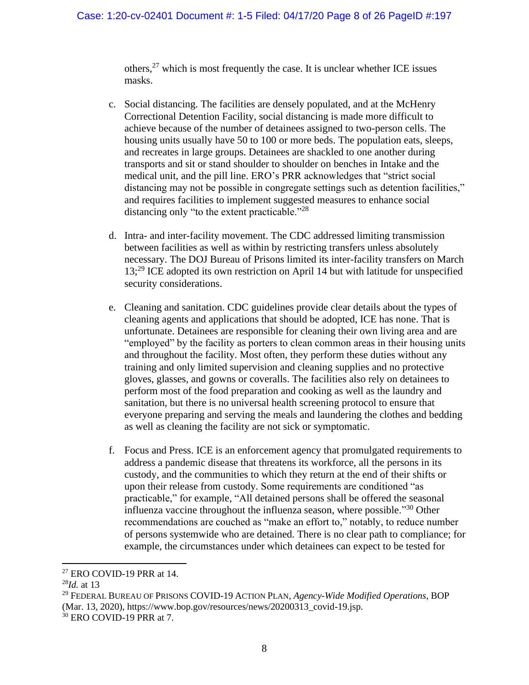others,  $27$  which is most frequently the case. It is unclear whether ICE issues masks.

- c. Social distancing. The facilities are densely populated, and at the McHenry Correctional Detention Facility, social distancing is made more difficult to achieve because of the number of detainees assigned to two-person cells. The housing units usually have 50 to 100 or more beds. The population eats, sleeps, and recreates in large groups. Detainees are shackled to one another during transports and sit or stand shoulder to shoulder on benches in Intake and the medical unit, and the pill line. ERO's PRR acknowledges that "strict social distancing may not be possible in congregate settings such as detention facilities," and requires facilities to implement suggested measures to enhance social distancing only "to the extent practicable."<sup>28</sup>
- d. Intra- and inter-facility movement. The CDC addressed limiting transmission between facilities as well as within by restricting transfers unless absolutely necessary. The DOJ Bureau of Prisons limited its inter-facility transfers on March 13;<sup>29</sup> ICE adopted its own restriction on April 14 but with latitude for unspecified security considerations.
- e. Cleaning and sanitation. CDC guidelines provide clear details about the types of cleaning agents and applications that should be adopted, ICE has none. That is unfortunate. Detainees are responsible for cleaning their own living area and are "employed" by the facility as porters to clean common areas in their housing units and throughout the facility. Most often, they perform these duties without any training and only limited supervision and cleaning supplies and no protective gloves, glasses, and gowns or coveralls. The facilities also rely on detainees to perform most of the food preparation and cooking as well as the laundry and sanitation, but there is no universal health screening protocol to ensure that everyone preparing and serving the meals and laundering the clothes and bedding as well as cleaning the facility are not sick or symptomatic.
- f. Focus and Press. ICE is an enforcement agency that promulgated requirements to address a pandemic disease that threatens its workforce, all the persons in its custody, and the communities to which they return at the end of their shifts or upon their release from custody. Some requirements are conditioned "as practicable," for example, "All detained persons shall be offered the seasonal influenza vaccine throughout the influenza season, where possible.<sup>330</sup> Other recommendations are couched as "make an effort to," notably, to reduce number of persons systemwide who are detained. There is no clear path to compliance; for example, the circumstances under which detainees can expect to be tested for

 $27$  ERO COVID-19 PRR at 14.

<sup>28</sup>*Id.* at 13

<sup>29</sup> FEDERAL BUREAU OF PRISONS COVID-19 ACTION PLAN, *Agency-Wide Modified Operations*, BOP (Mar. 13, 2020), https://www.bop.gov/resources/news/20200313\_covid-19.jsp.

<sup>30</sup> ERO COVID-19 PRR at 7.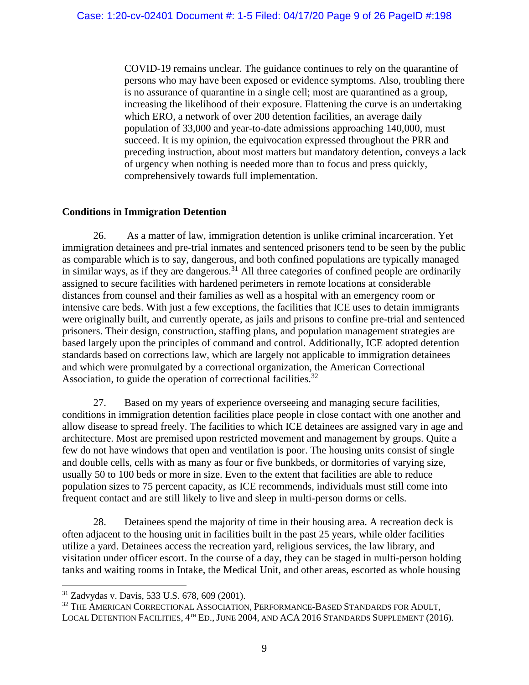COVID-19 remains unclear. The guidance continues to rely on the quarantine of persons who may have been exposed or evidence symptoms. Also, troubling there is no assurance of quarantine in a single cell; most are quarantined as a group, increasing the likelihood of their exposure. Flattening the curve is an undertaking which ERO, a network of over 200 detention facilities, an average daily population of 33,000 and year-to-date admissions approaching 140,000, must succeed. It is my opinion, the equivocation expressed throughout the PRR and preceding instruction, about most matters but mandatory detention, conveys a lack of urgency when nothing is needed more than to focus and press quickly, comprehensively towards full implementation.

### **Conditions in Immigration Detention**

26. As a matter of law, immigration detention is unlike criminal incarceration. Yet immigration detainees and pre-trial inmates and sentenced prisoners tend to be seen by the public as comparable which is to say, dangerous, and both confined populations are typically managed in similar ways, as if they are dangerous.<sup>31</sup> All three categories of confined people are ordinarily assigned to secure facilities with hardened perimeters in remote locations at considerable distances from counsel and their families as well as a hospital with an emergency room or intensive care beds. With just a few exceptions, the facilities that ICE uses to detain immigrants were originally built, and currently operate, as jails and prisons to confine pre-trial and sentenced prisoners. Their design, construction, staffing plans, and population management strategies are based largely upon the principles of command and control. Additionally, ICE adopted detention standards based on corrections law, which are largely not applicable to immigration detainees and which were promulgated by a correctional organization, the American Correctional Association, to guide the operation of correctional facilities.<sup>32</sup>

27. Based on my years of experience overseeing and managing secure facilities, conditions in immigration detention facilities place people in close contact with one another and allow disease to spread freely. The facilities to which ICE detainees are assigned vary in age and architecture. Most are premised upon restricted movement and management by groups. Quite a few do not have windows that open and ventilation is poor. The housing units consist of single and double cells, cells with as many as four or five bunkbeds, or dormitories of varying size, usually 50 to 100 beds or more in size. Even to the extent that facilities are able to reduce population sizes to 75 percent capacity, as ICE recommends, individuals must still come into frequent contact and are still likely to live and sleep in multi-person dorms or cells.

28. Detainees spend the majority of time in their housing area. A recreation deck is often adjacent to the housing unit in facilities built in the past 25 years, while older facilities utilize a yard. Detainees access the recreation yard, religious services, the law library, and visitation under officer escort. In the course of a day, they can be staged in multi-person holding tanks and waiting rooms in Intake, the Medical Unit, and other areas, escorted as whole housing

<sup>31</sup> Zadvydas v. Davis, 533 U.S. 678, 609 (2001).

<sup>&</sup>lt;sup>32</sup> THE AMERICAN CORRECTIONAL ASSOCIATION, PERFORMANCE-BASED STANDARDS FOR ADULT, LOCAL DETENTION FACILITIES, 4<sup>th</sup> Ed., JUNE 2004, AND ACA 2016 STANDARDS SUPPLEMENT (2016).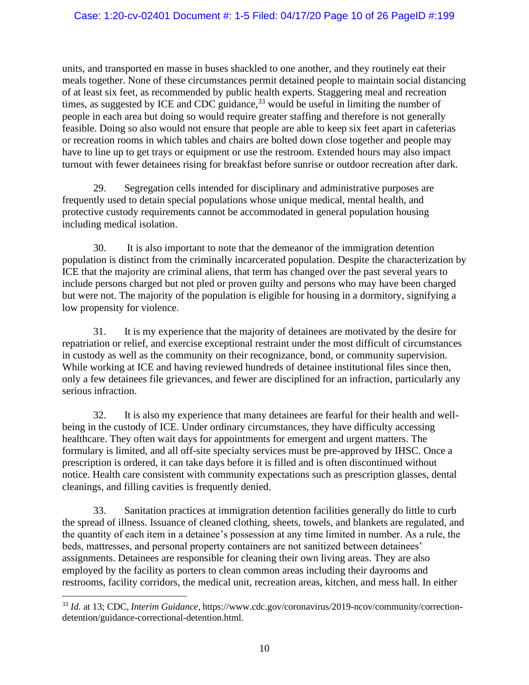units, and transported en masse in buses shackled to one another, and they routinely eat their meals together. None of these circumstances permit detained people to maintain social distancing of at least six feet, as recommended by public health experts. Staggering meal and recreation times, as suggested by ICE and CDC guidance,  $33$  would be useful in limiting the number of people in each area but doing so would require greater staffing and therefore is not generally feasible. Doing so also would not ensure that people are able to keep six feet apart in cafeterias or recreation rooms in which tables and chairs are bolted down close together and people may have to line up to get trays or equipment or use the restroom. Extended hours may also impact turnout with fewer detainees rising for breakfast before sunrise or outdoor recreation after dark.

29. Segregation cells intended for disciplinary and administrative purposes are frequently used to detain special populations whose unique medical, mental health, and protective custody requirements cannot be accommodated in general population housing including medical isolation.

30. It is also important to note that the demeanor of the immigration detention population is distinct from the criminally incarcerated population. Despite the characterization by ICE that the majority are criminal aliens, that term has changed over the past several years to include persons charged but not pled or proven guilty and persons who may have been charged but were not. The majority of the population is eligible for housing in a dormitory, signifying a low propensity for violence.

31. It is my experience that the majority of detainees are motivated by the desire for repatriation or relief, and exercise exceptional restraint under the most difficult of circumstances in custody as well as the community on their recognizance, bond, or community supervision. While working at ICE and having reviewed hundreds of detainee institutional files since then, only a few detainees file grievances, and fewer are disciplined for an infraction, particularly any serious infraction.

32. It is also my experience that many detainees are fearful for their health and wellbeing in the custody of ICE. Under ordinary circumstances, they have difficulty accessing healthcare. They often wait days for appointments for emergent and urgent matters. The formulary is limited, and all off-site specialty services must be pre-approved by IHSC. Once a prescription is ordered, it can take days before it is filled and is often discontinued without notice. Health care consistent with community expectations such as prescription glasses, dental cleanings, and filling cavities is frequently denied.

33. Sanitation practices at immigration detention facilities generally do little to curb the spread of illness. Issuance of cleaned clothing, sheets, towels, and blankets are regulated, and the quantity of each item in a detainee's possession at any time limited in number. As a rule, the beds, mattresses, and personal property containers are not sanitized between detainees' assignments. Detainees are responsible for cleaning their own living areas. They are also employed by the facility as porters to clean common areas including their dayrooms and restrooms, facility corridors, the medical unit, recreation areas, kitchen, and mess hall. In either

<sup>33</sup> *Id.* at 13; CDC, *Interim Guidance*, https://www.cdc.gov/coronavirus/2019-ncov/community/correctiondetention/guidance-correctional-detention.html.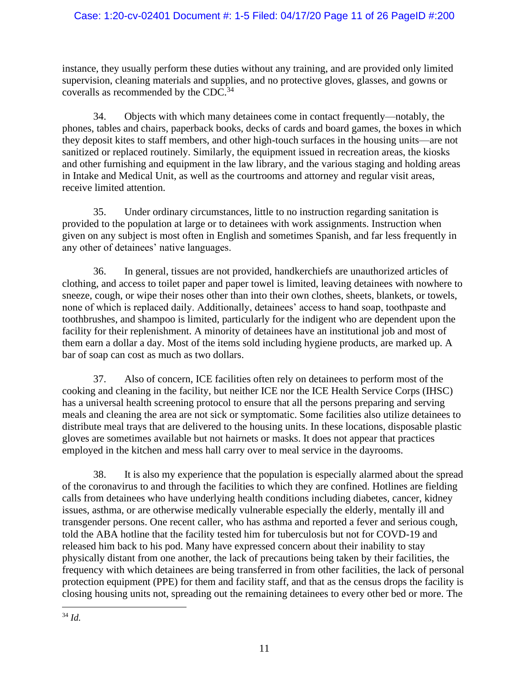# Case: 1:20-cv-02401 Document #: 1-5 Filed: 04/17/20 Page 11 of 26 PageID #:200

instance, they usually perform these duties without any training, and are provided only limited supervision, cleaning materials and supplies, and no protective gloves, glasses, and gowns or coveralls as recommended by the CDC.<sup>34</sup>

34. Objects with which many detainees come in contact frequently—notably, the phones, tables and chairs, paperback books, decks of cards and board games, the boxes in which they deposit kites to staff members, and other high-touch surfaces in the housing units—are not sanitized or replaced routinely. Similarly, the equipment issued in recreation areas, the kiosks and other furnishing and equipment in the law library, and the various staging and holding areas in Intake and Medical Unit, as well as the courtrooms and attorney and regular visit areas, receive limited attention.

35. Under ordinary circumstances, little to no instruction regarding sanitation is provided to the population at large or to detainees with work assignments. Instruction when given on any subject is most often in English and sometimes Spanish, and far less frequently in any other of detainees' native languages.

36. In general, tissues are not provided, handkerchiefs are unauthorized articles of clothing, and access to toilet paper and paper towel is limited, leaving detainees with nowhere to sneeze, cough, or wipe their noses other than into their own clothes, sheets, blankets, or towels, none of which is replaced daily. Additionally, detainees' access to hand soap, toothpaste and toothbrushes, and shampoo is limited, particularly for the indigent who are dependent upon the facility for their replenishment. A minority of detainees have an institutional job and most of them earn a dollar a day. Most of the items sold including hygiene products, are marked up. A bar of soap can cost as much as two dollars.

37. Also of concern, ICE facilities often rely on detainees to perform most of the cooking and cleaning in the facility, but neither ICE nor the ICE Health Service Corps (IHSC) has a universal health screening protocol to ensure that all the persons preparing and serving meals and cleaning the area are not sick or symptomatic. Some facilities also utilize detainees to distribute meal trays that are delivered to the housing units. In these locations, disposable plastic gloves are sometimes available but not hairnets or masks. It does not appear that practices employed in the kitchen and mess hall carry over to meal service in the dayrooms.

38. It is also my experience that the population is especially alarmed about the spread of the coronavirus to and through the facilities to which they are confined. Hotlines are fielding calls from detainees who have underlying health conditions including diabetes, cancer, kidney issues, asthma, or are otherwise medically vulnerable especially the elderly, mentally ill and transgender persons. One recent caller, who has asthma and reported a fever and serious cough, told the ABA hotline that the facility tested him for tuberculosis but not for COVD-19 and released him back to his pod. Many have expressed concern about their inability to stay physically distant from one another, the lack of precautions being taken by their facilities, the frequency with which detainees are being transferred in from other facilities, the lack of personal protection equipment (PPE) for them and facility staff, and that as the census drops the facility is closing housing units not, spreading out the remaining detainees to every other bed or more. The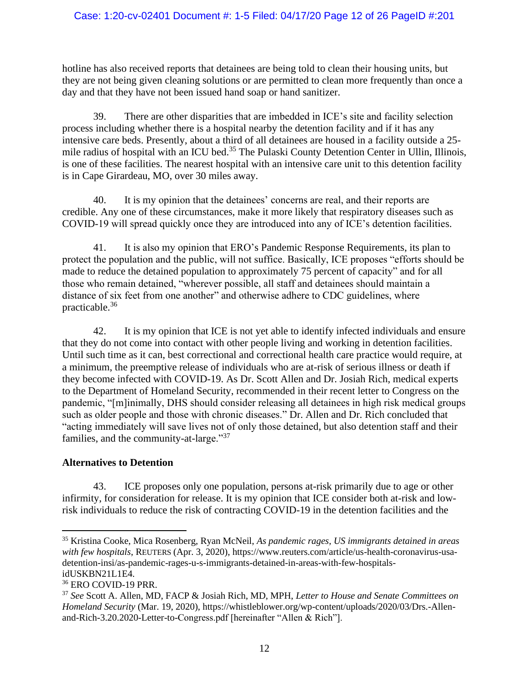### Case: 1:20-cv-02401 Document #: 1-5 Filed: 04/17/20 Page 12 of 26 PageID #:201

hotline has also received reports that detainees are being told to clean their housing units, but they are not being given cleaning solutions or are permitted to clean more frequently than once a day and that they have not been issued hand soap or hand sanitizer.

39. There are other disparities that are imbedded in ICE's site and facility selection process including whether there is a hospital nearby the detention facility and if it has any intensive care beds. Presently, about a third of all detainees are housed in a facility outside a 25 mile radius of hospital with an ICU bed.<sup>35</sup> The Pulaski County Detention Center in Ullin, Illinois, is one of these facilities. The nearest hospital with an intensive care unit to this detention facility is in Cape Girardeau, MO, over 30 miles away.

40. It is my opinion that the detainees' concerns are real, and their reports are credible. Any one of these circumstances, make it more likely that respiratory diseases such as COVID-19 will spread quickly once they are introduced into any of ICE's detention facilities.

41. It is also my opinion that ERO's Pandemic Response Requirements, its plan to protect the population and the public, will not suffice. Basically, ICE proposes "efforts should be made to reduce the detained population to approximately 75 percent of capacity" and for all those who remain detained, "wherever possible, all staff and detainees should maintain a distance of six feet from one another" and otherwise adhere to CDC guidelines, where practicable.<sup>36</sup>

42. It is my opinion that ICE is not yet able to identify infected individuals and ensure that they do not come into contact with other people living and working in detention facilities. Until such time as it can, best correctional and correctional health care practice would require, at a minimum, the preemptive release of individuals who are at-risk of serious illness or death if they become infected with COVID-19. As Dr. Scott Allen and Dr. Josiah Rich, medical experts to the Department of Homeland Security, recommended in their recent letter to Congress on the pandemic, "[m]inimally, DHS should consider releasing all detainees in high risk medical groups such as older people and those with chronic diseases." Dr. Allen and Dr. Rich concluded that "acting immediately will save lives not of only those detained, but also detention staff and their families, and the community-at-large."<sup>37</sup>

### **Alternatives to Detention**

43. ICE proposes only one population, persons at-risk primarily due to age or other infirmity, for consideration for release. It is my opinion that ICE consider both at-risk and lowrisk individuals to reduce the risk of contracting COVID-19 in the detention facilities and the

<sup>35</sup> Kristina Cooke, Mica Rosenberg, Ryan McNeil, *As pandemic rages, US immigrants detained in areas with few hospitals*, REUTERS (Apr. 3, 2020), https://www.reuters.com/article/us-health-coronavirus-usadetention-insi/as-pandemic-rages-u-s-immigrants-detained-in-areas-with-few-hospitalsidUSKBN21L1E4.

<sup>36</sup> ERO COVID-19 PRR.

<sup>37</sup> *See* Scott A. Allen, MD, FACP & Josiah Rich, MD, MPH, *Letter to House and Senate Committees on Homeland Security* (Mar. 19, 2020), https://whistleblower.org/wp-content/uploads/2020/03/Drs.-Allenand-Rich-3.20.2020-Letter-to-Congress.pdf [hereinafter "Allen & Rich"].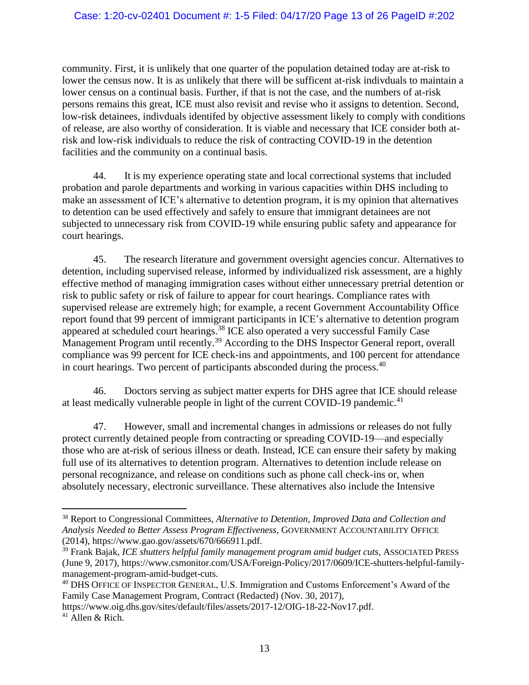community. First, it is unlikely that one quarter of the population detained today are at-risk to lower the census now. It is as unlikely that there will be sufficent at-risk indivduals to maintain a lower census on a continual basis. Further, if that is not the case, and the numbers of at-risk persons remains this great, ICE must also revisit and revise who it assigns to detention. Second, low-risk detainees, indivduals identifed by objective assessment likely to comply with conditions of release, are also worthy of consideration. It is viable and necessary that ICE consider both atrisk and low-risk individuals to reduce the risk of contracting COVID-19 in the detention facilities and the community on a continual basis.

44. It is my experience operating state and local correctional systems that included probation and parole departments and working in various capacities within DHS including to make an assessment of ICE's alternative to detention program, it is my opinion that alternatives to detention can be used effectively and safely to ensure that immigrant detainees are not subjected to unnecessary risk from COVID-19 while ensuring public safety and appearance for court hearings.

45. The research literature and government oversight agencies concur. Alternatives to detention, including supervised release, informed by individualized risk assessment, are a highly effective method of managing immigration cases without either unnecessary pretrial detention or risk to public safety or risk of failure to appear for court hearings. Compliance rates with supervised release are extremely high; for example, a recent Government Accountability Office report found that 99 percent of immigrant participants in ICE's alternative to detention program appeared at scheduled court hearings.<sup>38</sup> ICE also operated a very successful Family Case Management Program until recently.<sup>39</sup> According to the DHS Inspector General report, overall compliance was 99 percent for ICE check-ins and appointments, and 100 percent for attendance in court hearings. Two percent of participants absconded during the process.<sup>40</sup>

46. Doctors serving as subject matter experts for DHS agree that ICE should release at least medically vulnerable people in light of the current COVID-19 pandemic.<sup>41</sup>

47. However, small and incremental changes in admissions or releases do not fully protect currently detained people from contracting or spreading COVID-19—and especially those who are at-risk of serious illness or death. Instead, ICE can ensure their safety by making full use of its alternatives to detention program. Alternatives to detention include release on personal recognizance, and release on conditions such as phone call check-ins or, when absolutely necessary, electronic surveillance. These alternatives also include the Intensive

<sup>38</sup> Report to Congressional Committees, *Alternative to Detention, Improved Data and Collection and Analysis Needed to Better Assess Program Effectiveness*, GOVERNMENT ACCOUNTABILITY OFFICE (2014), https://www.gao.gov/assets/670/666911.pdf.

<sup>39</sup> Frank Bajak, *ICE shutters helpful family management program amid budget cuts*, ASSOCIATED PRESS (June 9, 2017), https://www.csmonitor.com/USA/Foreign-Policy/2017/0609/ICE-shutters-helpful-familymanagement-program-amid-budget-cuts.

<sup>40</sup> DHS OFFICE OF INSPECTOR GENERAL, U.S. Immigration and Customs Enforcement's Award of the Family Case Management Program, Contract (Redacted) (Nov. 30, 2017),

https://www.oig.dhs.gov/sites/default/files/assets/2017-12/OIG-18-22-Nov17.pdf.

<sup>41</sup> Allen & Rich.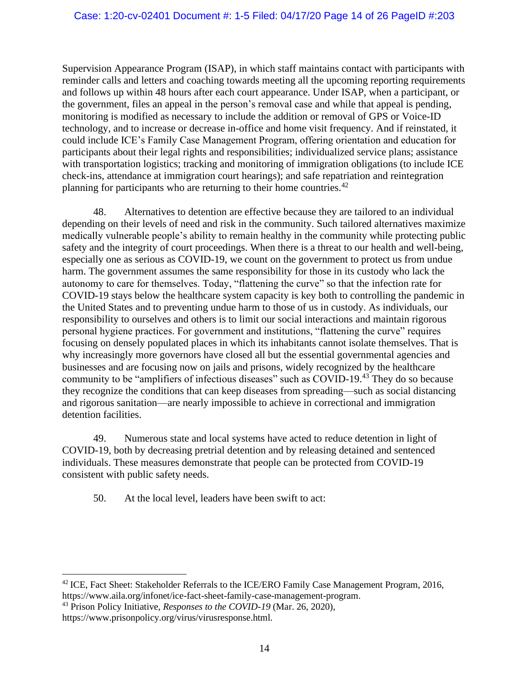Supervision Appearance Program (ISAP), in which staff maintains contact with participants with reminder calls and letters and coaching towards meeting all the upcoming reporting requirements and follows up within 48 hours after each court appearance. Under ISAP, when a participant, or the government, files an appeal in the person's removal case and while that appeal is pending, monitoring is modified as necessary to include the addition or removal of GPS or Voice-ID technology, and to increase or decrease in-office and home visit frequency. And if reinstated, it could include ICE's Family Case Management Program, offering orientation and education for participants about their legal rights and responsibilities; individualized service plans; assistance with transportation logistics; tracking and monitoring of immigration obligations (to include ICE check-ins, attendance at immigration court hearings); and safe repatriation and reintegration planning for participants who are returning to their home countries.<sup>42</sup>

48. Alternatives to detention are effective because they are tailored to an individual depending on their levels of need and risk in the community. Such tailored alternatives maximize medically vulnerable people's ability to remain healthy in the community while protecting public safety and the integrity of court proceedings. When there is a threat to our health and well-being, especially one as serious as COVID-19, we count on the government to protect us from undue harm. The government assumes the same responsibility for those in its custody who lack the autonomy to care for themselves. Today, "flattening the curve" so that the infection rate for COVID-19 stays below the healthcare system capacity is key both to controlling the pandemic in the United States and to preventing undue harm to those of us in custody. As individuals, our responsibility to ourselves and others is to limit our social interactions and maintain rigorous personal hygiene practices. For government and institutions, "flattening the curve" requires focusing on densely populated places in which its inhabitants cannot isolate themselves. That is why increasingly more governors have closed all but the essential governmental agencies and businesses and are focusing now on jails and prisons, widely recognized by the healthcare community to be "amplifiers of infectious diseases" such as COVID-19.<sup>43</sup> They do so because they recognize the conditions that can keep diseases from spreading—such as social distancing and rigorous sanitation—are nearly impossible to achieve in correctional and immigration detention facilities.

49. Numerous state and local systems have acted to reduce detention in light of COVID-19, both by decreasing pretrial detention and by releasing detained and sentenced individuals. These measures demonstrate that people can be protected from COVID-19 consistent with public safety needs.

50. At the local level, leaders have been swift to act:

<sup>&</sup>lt;sup>42</sup> ICE, Fact Sheet: Stakeholder Referrals to the ICE/ERO Family Case Management Program, 2016, https://www.aila.org/infonet/ice-fact-sheet-family-case-management-program.

<sup>43</sup> Prison Policy Initiative, *Responses to the COVID-19* (Mar. 26, 2020),

https://www.prisonpolicy.org/virus/virusresponse.html.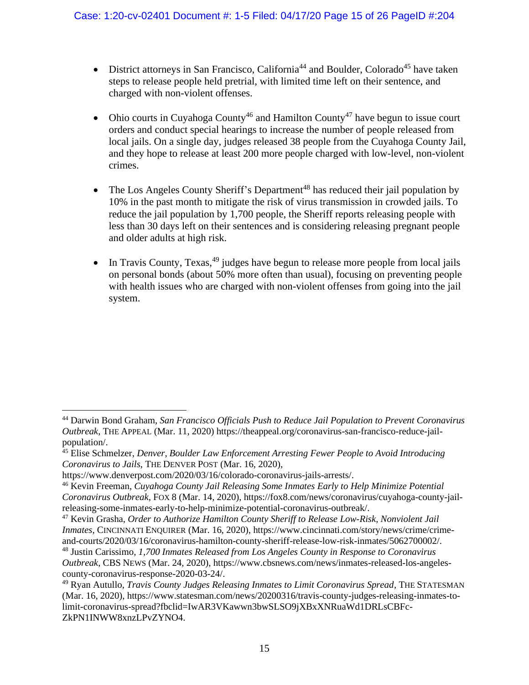- District attorneys in San Francisco, California<sup>44</sup> and Boulder, Colorado<sup>45</sup> have taken steps to release people held pretrial, with limited time left on their sentence, and charged with non-violent offenses.
- Ohio courts in Cuyahoga County<sup>46</sup> and Hamilton County<sup>47</sup> have begun to issue court orders and conduct special hearings to increase the number of people released from local jails. On a single day, judges released 38 people from the Cuyahoga County Jail, and they hope to release at least 200 more people charged with low-level, non-violent crimes.
- The Los Angeles County Sheriff's Department<sup>48</sup> has reduced their jail population by 10% in the past month to mitigate the risk of virus transmission in crowded jails. To reduce the jail population by 1,700 people, the Sheriff reports releasing people with less than 30 days left on their sentences and is considering releasing pregnant people and older adults at high risk.
- In Travis County, Texas,  $49$  judges have begun to release more people from local jails on personal bonds (about 50% more often than usual), focusing on preventing people with health issues who are charged with non-violent offenses from going into the jail system.

<sup>44</sup> Darwin Bond Graham, *San Francisco Officials Push to Reduce Jail Population to Prevent Coronavirus Outbreak*, THE APPEAL (Mar. 11, 2020) https://theappeal.org/coronavirus-san-francisco-reduce-jailpopulation/.

<sup>45</sup> Elise Schmelzer, *Denver, Boulder Law Enforcement Arresting Fewer People to Avoid Introducing Coronavirus to Jails*, THE DENVER POST (Mar. 16, 2020),

https://www.denverpost.com/2020/03/16/colorado-coronavirus-jails-arrests/.

<sup>46</sup> Kevin Freeman, *Cuyahoga County Jail Releasing Some Inmates Early to Help Minimize Potential Coronavirus Outbreak*, FOX 8 (Mar. 14, 2020), https://fox8.com/news/coronavirus/cuyahoga-county-jailreleasing-some-inmates-early-to-help-minimize-potential-coronavirus-outbreak/.

<sup>47</sup> Kevin Grasha, *Order to Authorize Hamilton County Sheriff to Release Low-Risk, Nonviolent Jail Inmates*, CINCINNATI ENQUIRER (Mar. 16, 2020), https://www.cincinnati.com/story/news/crime/crimeand-courts/2020/03/16/coronavirus-hamilton-county-sheriff-release-low-risk-inmates/5062700002/.

<sup>48</sup> Justin Carissimo, *1,700 Inmates Released from Los Angeles County in Response to Coronavirus Outbreak*, CBS NEWS (Mar. 24, 2020), https://www.cbsnews.com/news/inmates-released-los-angelescounty-coronavirus-response-2020-03-24/.

<sup>49</sup> Ryan Autullo, *Travis County Judges Releasing Inmates to Limit Coronavirus Spread*, THE STATESMAN (Mar. 16, 2020), https://www.statesman.com/news/20200316/travis-county-judges-releasing-inmates-tolimit-coronavirus-spread?fbclid=IwAR3VKawwn3bwSLSO9jXBxXNRuaWd1DRLsCBFc-ZkPN1INWW8xnzLPvZYNO4.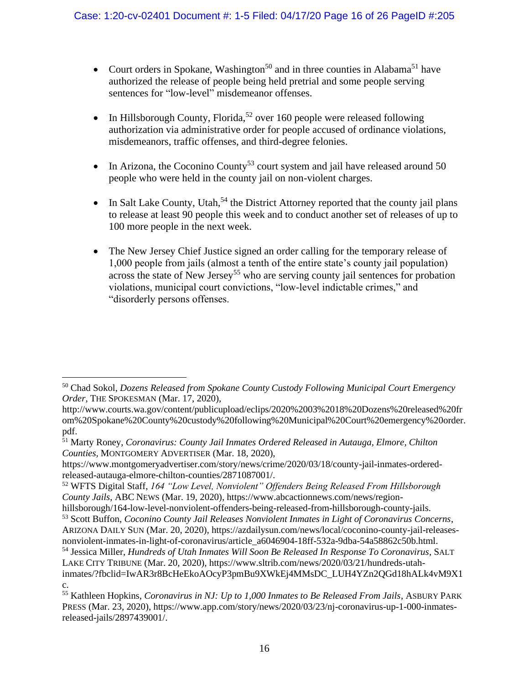- Court orders in Spokane, Washington<sup>50</sup> and in three counties in Alabama<sup>51</sup> have authorized the release of people being held pretrial and some people serving sentences for "low-level" misdemeanor offenses.
- In Hillsborough County, Florida,<sup>52</sup> over 160 people were released following authorization via administrative order for people accused of ordinance violations, misdemeanors, traffic offenses, and third-degree felonies.
- In Arizona, the Coconino County<sup>53</sup> court system and jail have released around 50 people who were held in the county jail on non-violent charges.
- In Salt Lake County, Utah,<sup>54</sup> the District Attorney reported that the county jail plans to release at least 90 people this week and to conduct another set of releases of up to 100 more people in the next week.
- The New Jersey Chief Justice signed an order calling for the temporary release of 1,000 people from jails (almost a tenth of the entire state's county jail population) across the state of New Jersey<sup>55</sup> who are serving county jail sentences for probation violations, municipal court convictions, "low-level indictable crimes," and "disorderly persons offenses.

<sup>50</sup> Chad Sokol, *Dozens Released from Spokane County Custody Following Municipal Court Emergency Order*, THE SPOKESMAN (Mar. 17, 2020),

http://www.courts.wa.gov/content/publicupload/eclips/2020%2003%2018%20Dozens%20released%20fr om%20Spokane%20County%20custody%20following%20Municipal%20Court%20emergency%20order. pdf.

<sup>51</sup> Marty Roney, *Coronavirus: County Jail Inmates Ordered Released in Autauga, Elmore, Chilton Counties,* MONTGOMERY ADVERTISER (Mar. 18, 2020),

https://www.montgomeryadvertiser.com/story/news/crime/2020/03/18/county-jail-inmates-orderedreleased-autauga-elmore-chilton-counties/2871087001/.

<sup>52</sup> WFTS Digital Staff, *164 "Low Level, Nonviolent" Offenders Being Released From Hillsborough County Jails*, ABC NEWS (Mar. 19, 2020), https://www.abcactionnews.com/news/region-

hillsborough/164-low-level-nonviolent-offenders-being-released-from-hillsborough-county-jails. <sup>53</sup> Scott Buffon, *Coconino County Jail Releases Nonviolent Inmates in Light of Coronavirus Concerns*, ARIZONA DAILY SUN (Mar. 20, 2020), https://azdailysun.com/news/local/coconino-county-jail-releases-

nonviolent-inmates-in-light-of-coronavirus/article\_a6046904-18ff-532a-9dba-54a58862c50b.html. <sup>54</sup> Jessica Miller, *Hundreds of Utah Inmates Will Soon Be Released In Response To Coronavirus*, SALT LAKE CITY TRIBUNE (Mar. 20, 2020), https://www.sltrib.com/news/2020/03/21/hundreds-utahinmates/?fbclid=IwAR3r8BcHeEkoAOcyP3pmBu9XWkEj4MMsDC\_LUH4YZn2QGd18hALk4vM9X1

c.

<sup>55</sup> Kathleen Hopkins, *Coronavirus in NJ: Up to 1,000 Inmates to Be Released From Jails*, ASBURY PARK PRESS (Mar. 23, 2020), https://www.app.com/story/news/2020/03/23/nj-coronavirus-up-1-000-inmatesreleased-jails/2897439001/.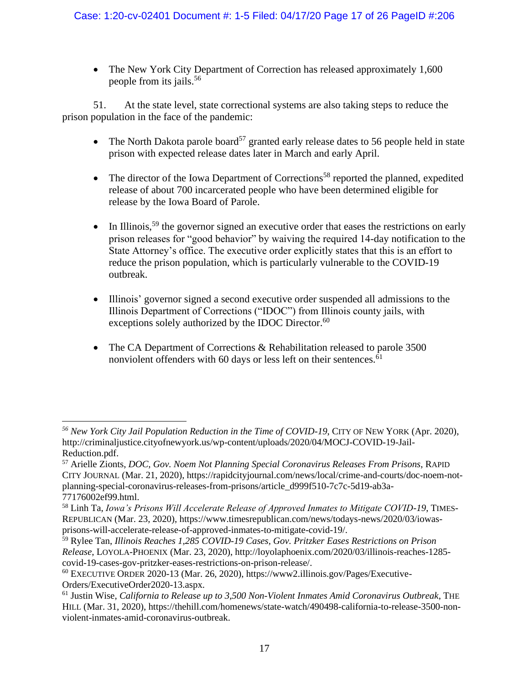• The New York City Department of Correction has released approximately 1,600 people from its jails.<sup>56</sup>

51. At the state level, state correctional systems are also taking steps to reduce the prison population in the face of the pandemic:

- The North Dakota parole board<sup>57</sup> granted early release dates to 56 people held in state prison with expected release dates later in March and early April.
- The director of the Iowa Department of Corrections<sup>58</sup> reported the planned, expedited release of about 700 incarcerated people who have been determined eligible for release by the Iowa Board of Parole.
- In Illinois,<sup>59</sup> the governor signed an executive order that eases the restrictions on early prison releases for "good behavior" by waiving the required 14-day notification to the State Attorney's office. The executive order explicitly states that this is an effort to reduce the prison population, which is particularly vulnerable to the COVID-19 outbreak.
- Illinois' governor signed a second executive order suspended all admissions to the Illinois Department of Corrections ("IDOC") from Illinois county jails, with exceptions solely authorized by the IDOC Director.<sup>60</sup>
- The CA Department of Corrections & Rehabilitation released to parole 3500 nonviolent offenders with 60 days or less left on their sentences.<sup>61</sup>

*<sup>56</sup> New York City Jail Population Reduction in the Time of COVID-19*, CITY OF NEW YORK (Apr. 2020), http://criminaljustice.cityofnewyork.us/wp-content/uploads/2020/04/MOCJ-COVID-19-Jail-Reduction.pdf.

<sup>57</sup> Arielle Zionts, *DOC, Gov. Noem Not Planning Special Coronavirus Releases From Prisons*, RAPID CITY JOURNAL (Mar. 21, 2020), https://rapidcityjournal.com/news/local/crime-and-courts/doc-noem-notplanning-special-coronavirus-releases-from-prisons/article\_d999f510-7c7c-5d19-ab3a-77176002ef99.html.

<sup>58</sup> Linh Ta, *Iowa's Prisons Will Accelerate Release of Approved Inmates to Mitigate COVID-19*, TIMES-REPUBLICAN (Mar. 23, 2020), https://www.timesrepublican.com/news/todays-news/2020/03/iowasprisons-will-accelerate-release-of-approved-inmates-to-mitigate-covid-19/.

<sup>59</sup> Rylee Tan, *Illinois Reaches 1,285 COVID-19 Cases, Gov. Pritzker Eases Restrictions on Prison Release*, LOYOLA-PHOENIX (Mar. 23, 2020), http://loyolaphoenix.com/2020/03/illinois-reaches-1285 covid-19-cases-gov-pritzker-eases-restrictions-on-prison-release/.

 $60$  EXECUTIVE ORDER 2020-13 (Mar. 26, 2020), https://www2.illinois.gov/Pages/Executive-Orders/ExecutiveOrder2020-13.aspx.

<sup>61</sup> Justin Wise, *California to Release up to 3,500 Non-Violent Inmates Amid Coronavirus Outbreak*, THE HILL (Mar. 31, 2020), https://thehill.com/homenews/state-watch/490498-california-to-release-3500-nonviolent-inmates-amid-coronavirus-outbreak.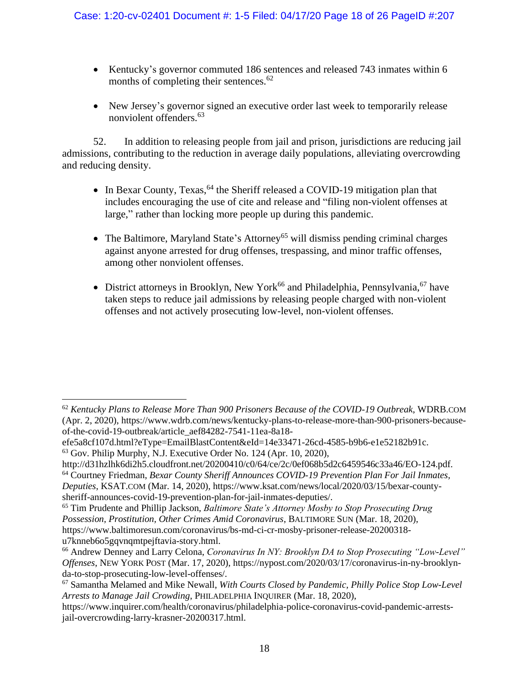- Kentucky's governor commuted 186 sentences and released 743 inmates within 6 months of completing their sentences. $62$
- New Jersey's governor signed an executive order last week to temporarily release nonviolent offenders.<sup>63</sup>

52. In addition to releasing people from jail and prison, jurisdictions are reducing jail admissions, contributing to the reduction in average daily populations, alleviating overcrowding and reducing density.

- In Bexar County, Texas,  $64$  the Sheriff released a COVID-19 mitigation plan that includes encouraging the use of cite and release and "filing non-violent offenses at large," rather than locking more people up during this pandemic.
- The Baltimore, Maryland State's Attorney<sup>65</sup> will dismiss pending criminal charges against anyone arrested for drug offenses, trespassing, and minor traffic offenses, among other nonviolent offenses.
- District attorneys in Brooklyn, New York<sup>66</sup> and Philadelphia, Pennsylvania,<sup>67</sup> have taken steps to reduce jail admissions by releasing people charged with non-violent offenses and not actively prosecuting low-level, non-violent offenses.

<sup>62</sup> *Kentucky Plans to Release More Than 900 Prisoners Because of the COVID-19 Outbreak*, WDRB.COM (Apr. 2, 2020), https://www.wdrb.com/news/kentucky-plans-to-release-more-than-900-prisoners-becauseof-the-covid-19-outbreak/article\_aef84282-7541-11ea-8a18-

efe5a8cf107d.html?eType=EmailBlastContent&eId=14e33471-26cd-4585-b9b6-e1e52182b91c.

<sup>63</sup> Gov. Philip Murphy, N.J. Executive Order No. 124 (Apr. 10, 2020),

http://d31hzlhk6di2h5.cloudfront.net/20200410/c0/64/ce/2c/0ef068b5d2c6459546c33a46/EO-124.pdf.

<sup>64</sup> Courtney Friedman, *Bexar County Sheriff Announces COVID-19 Prevention Plan For Jail Inmates, Deputies*, KSAT.COM (Mar. 14, 2020), https://www.ksat.com/news/local/2020/03/15/bexar-county-

sheriff-announces-covid-19-prevention-plan-for-jail-inmates-deputies/.

<sup>65</sup> Tim Prudente and Phillip Jackson, *Baltimore State's Attorney Mosby to Stop Prosecuting Drug Possession, Prostitution, Other Crimes Amid Coronavirus*, BALTIMORE SUN (Mar. 18, 2020), https://www.baltimoresun.com/coronavirus/bs-md-ci-cr-mosby-prisoner-release-20200318 u7knneb6o5gqvnqmtpejftavia-story.html.

<sup>66</sup> Andrew Denney and Larry Celona, *Coronavirus In NY: Brooklyn DA to Stop Prosecuting "Low-Level" Offenses*, NEW YORK POST (Mar. 17, 2020), https://nypost.com/2020/03/17/coronavirus-in-ny-brooklynda-to-stop-prosecuting-low-level-offenses/.

<sup>67</sup> Samantha Melamed and Mike Newall, *With Courts Closed by Pandemic, Philly Police Stop Low-Level Arrests to Manage Jail Crowding*, PHILADELPHIA INQUIRER (Mar. 18, 2020),

https://www.inquirer.com/health/coronavirus/philadelphia-police-coronavirus-covid-pandemic-arrestsjail-overcrowding-larry-krasner-20200317.html.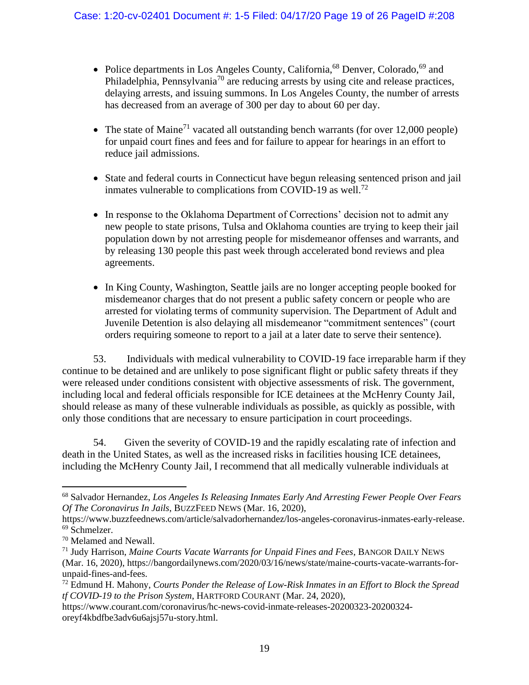- Police departments in Los Angeles County, California,<sup>68</sup> Denver, Colorado,<sup>69</sup> and Philadelphia, Pennsylvania<sup>70</sup> are reducing arrests by using cite and release practices, delaying arrests, and issuing summons. In Los Angeles County, the number of arrests has decreased from an average of 300 per day to about 60 per day.
- The state of Maine<sup>71</sup> vacated all outstanding bench warrants (for over 12,000 people) for unpaid court fines and fees and for failure to appear for hearings in an effort to reduce jail admissions.
- State and federal courts in Connecticut have begun releasing sentenced prison and jail inmates vulnerable to complications from COVID-19 as well.<sup>72</sup>
- In response to the Oklahoma Department of Corrections' decision not to admit any new people to state prisons, Tulsa and Oklahoma counties are trying to keep their jail population down by not arresting people for misdemeanor offenses and warrants, and by releasing 130 people this past week through accelerated bond reviews and plea agreements.
- In King County, Washington, Seattle jails are no longer accepting people booked for misdemeanor charges that do not present a public safety concern or people who are arrested for violating terms of community supervision. The Department of Adult and Juvenile Detention is also delaying all misdemeanor "commitment sentences" (court orders requiring someone to report to a jail at a later date to serve their sentence).

53. Individuals with medical vulnerability to COVID-19 face irreparable harm if they continue to be detained and are unlikely to pose significant flight or public safety threats if they were released under conditions consistent with objective assessments of risk. The government, including local and federal officials responsible for ICE detainees at the McHenry County Jail, should release as many of these vulnerable individuals as possible, as quickly as possible, with only those conditions that are necessary to ensure participation in court proceedings.

54. Given the severity of COVID-19 and the rapidly escalating rate of infection and death in the United States, as well as the increased risks in facilities housing ICE detainees, including the McHenry County Jail, I recommend that all medically vulnerable individuals at

<sup>68</sup> Salvador Hernandez, *Los Angeles Is Releasing Inmates Early And Arresting Fewer People Over Fears Of The Coronavirus In Jails*, BUZZFEED NEWS (Mar. 16, 2020),

https://www.buzzfeednews.com/article/salvadorhernandez/los-angeles-coronavirus-inmates-early-release. <sup>69</sup> Schmelzer.

<sup>70</sup> Melamed and Newall.

<sup>71</sup> Judy Harrison, *Maine Courts Vacate Warrants for Unpaid Fines and Fees*, BANGOR DAILY NEWS (Mar. 16, 2020), https://bangordailynews.com/2020/03/16/news/state/maine-courts-vacate-warrants-forunpaid-fines-and-fees.

<sup>72</sup> Edmund H. Mahony, *Courts Ponder the Release of Low-Risk Inmates in an Effort to Block the Spread tf COVID-19 to the Prison System*, HARTFORD COURANT (Mar. 24, 2020),

https://www.courant.com/coronavirus/hc-news-covid-inmate-releases-20200323-20200324 oreyf4kbdfbe3adv6u6ajsj57u-story.html.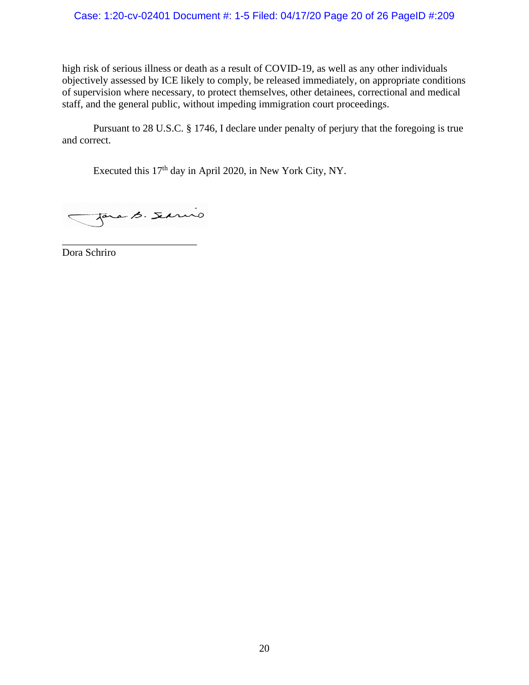#### Case: 1:20-cv-02401 Document #: 1-5 Filed: 04/17/20 Page 20 of 26 PageID #:209

high risk of serious illness or death as a result of COVID-19, as well as any other individuals objectively assessed by ICE likely to comply, be released immediately, on appropriate conditions of supervision where necessary, to protect themselves, other detainees, correctional and medical staff, and the general public, without impeding immigration court proceedings.

Pursuant to 28 U.S.C. § 1746, I declare under penalty of perjury that the foregoing is true and correct.

Executed this 17<sup>th</sup> day in April 2020, in New York City, NY.

Jara B. Servio

\_\_\_\_\_\_\_\_\_\_\_\_\_\_\_\_\_\_\_\_\_\_\_\_\_\_ Dora Schriro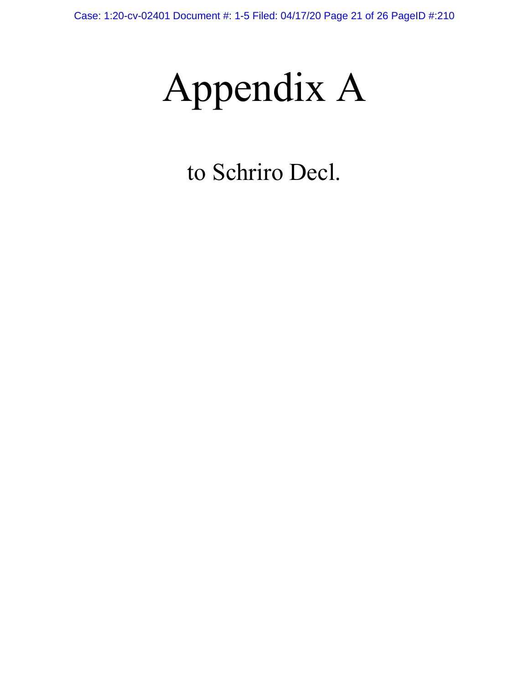Appendix A

to Schriro Decl.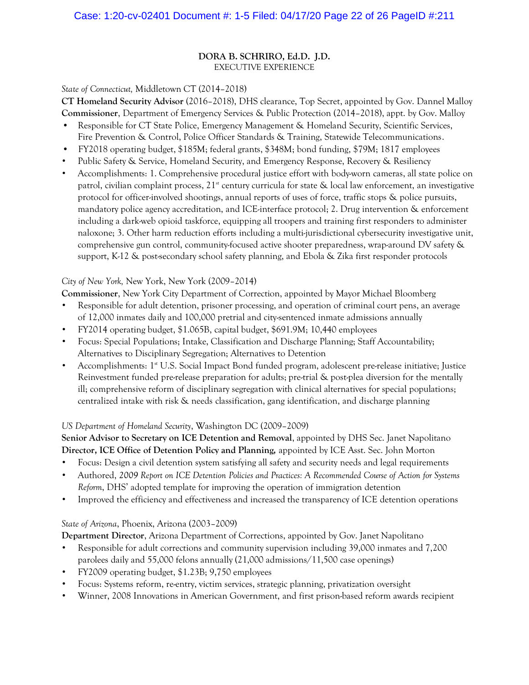#### **DORA B. SCHRIRO, Ed.D. J.D.**  EXECUTIVE EXPERIENCE

#### *State of Connecticut,* Middletown CT (2014–2018)

**CT Homeland Security Advisor** (2016–2018), DHS clearance, Top Secret, appointed by Gov. Dannel Malloy **Commissioner**, Department of Emergency Services & Public Protection (2014–2018), appt. by Gov. Malloy

- Responsible for CT State Police, Emergency Management & Homeland Security, Scientific Services, Fire Prevention & Control, Police Officer Standards & Training, Statewide Telecommunications.
- FY2018 operating budget, \$185M; federal grants, \$348M; bond funding, \$79M; 1817 employees
- Public Safety & Service, Homeland Security, and Emergency Response, Recovery & Resiliency
- Accomplishments: 1. Comprehensive procedural justice effort with body-worn cameras, all state police on patrol, civilian complaint process,  $21^{\text{st}}$  century curricula for state & local law enforcement, an investigative protocol for officer-involved shootings, annual reports of uses of force, traffic stops & police pursuits, mandatory police agency accreditation, and ICE-interface protocol; 2. Drug intervention & enforcement including a dark-web opioid taskforce, equipping all troopers and training first responders to administer naloxone; 3. Other harm reduction efforts including a multi-jurisdictional cybersecurity investigative unit, comprehensive gun control, community-focused active shooter preparedness, wrap-around DV safety & support, K-12 & post-secondary school safety planning, and Ebola & Zika first responder protocols

#### *City of New York,* New York, New York (2009–2014)

**Commissioner**, New York City Department of Correction, appointed by Mayor Michael Bloomberg

- Responsible for adult detention, prisoner processing, and operation of criminal court pens, an average of 12,000 inmates daily and 100,000 pretrial and city-sentenced inmate admissions annually
- FY2014 operating budget, \$1.065B, capital budget, \$691.9M; 10,440 employees
- Focus: Special Populations; Intake, Classification and Discharge Planning; Staff Accountability; Alternatives to Disciplinary Segregation; Alternatives to Detention
- Accomplishments: 1<sup>st</sup> U.S. Social Impact Bond funded program, adolescent pre-release initiative; Justice Reinvestment funded pre-release preparation for adults; pre-trial & post-plea diversion for the mentally ill; comprehensive reform of disciplinary segregation with clinical alternatives for special populations; centralized intake with risk & needs classification, gang identification, and discharge planning

### *US Department of Homeland Security*, Washington DC (2009–2009)

**Senior Advisor to Secretary on ICE Detention and Removal**, appointed by DHS Sec. Janet Napolitano **Director, ICE Office of Detention Policy and Planning,** appointed by ICE Asst. Sec. John Morton

- Focus: Design a civil detention system satisfying all safety and security needs and legal requirements
- Authored, *2009 Report on ICE Detention Policies and Practices: A Recommended Course of Action for Systems Reform*, DHS' adopted template for improving the operation of immigration detention
- Improved the efficiency and effectiveness and increased the transparency of ICE detention operations

### *State of Arizona*, Phoenix, Arizona (2003–2009)

**Department Director**, Arizona Department of Corrections, appointed by Gov. Janet Napolitano

- Responsible for adult corrections and community supervision including 39,000 inmates and 7,200 parolees daily and 55,000 felons annually (21,000 admissions/11,500 case openings)
- FY2009 operating budget, \$1.23B; 9,750 employees
- Focus: Systems reform, re-entry, victim services, strategic planning, privatization oversight
- Winner, 2008 Innovations in American Government, and first prison-based reform awards recipient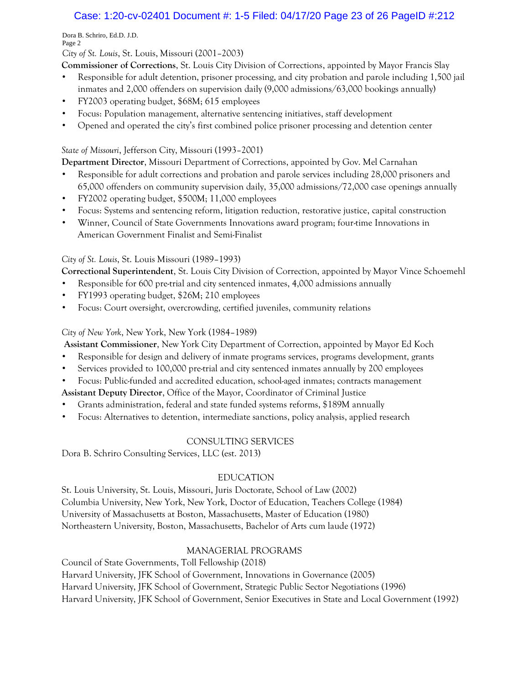# Case: 1:20-cv-02401 Document #: 1-5 Filed: 04/17/20 Page 23 of 26 PageID #:212

Dora B. Schriro, Ed.D. J.D. Page 2

*City of St. Louis*, St. Louis, Missouri (2001–2003)

**Commissioner of Corrections**, St. Louis City Division of Corrections, appointed by Mayor Francis Slay

- Responsible for adult detention, prisoner processing, and city probation and parole including 1,500 jail inmates and 2,000 offenders on supervision daily (9,000 admissions/63,000 bookings annually)
- FY2003 operating budget, \$68M; 615 employees
- Focus: Population management, alternative sentencing initiatives, staff development
- Opened and operated the city's first combined police prisoner processing and detention center

### *State of Missouri*, Jefferson City, Missouri (1993–2001)

**Department Director**, Missouri Department of Corrections, appointed by Gov. Mel Carnahan

- Responsible for adult corrections and probation and parole services including 28,000 prisoners and 65,000 offenders on community supervision daily, 35,000 admissions/72,000 case openings annually
- FY2002 operating budget, \$500M; 11,000 employees
- Focus: Systems and sentencing reform, litigation reduction, restorative justice, capital construction
- Winner, Council of State Governments Innovations award program; four-time Innovations in American Government Finalist and Semi-Finalist

# *City of St. Louis*, St. Louis Missouri (1989–1993)

**Correctional Superintendent**, St. Louis City Division of Correction, appointed by Mayor Vince Schoemehl

- Responsible for 600 pre-trial and city sentenced inmates, 4,000 admissions annually
- FY1993 operating budget, \$26M; 210 employees
- Focus: Court oversight, overcrowding, certified juveniles, community relations

### *City of New York*, New York, New York (1984–1989)

**Assistant Commissioner**, New York City Department of Correction, appointed by Mayor Ed Koch

- Responsible for design and delivery of inmate programs services, programs development, grants
- Services provided to 100,000 pre-trial and city sentenced inmates annually by 200 employees
- Focus: Public-funded and accredited education, school-aged inmates; contracts management

**Assistant Deputy Director**, Office of the Mayor, Coordinator of Criminal Justice

- Grants administration, federal and state funded systems reforms, \$189M annually
- Focus: Alternatives to detention, intermediate sanctions, policy analysis, applied research

# CONSULTING SERVICES

Dora B. Schriro Consulting Services, LLC (est. 2013)

# EDUCATION

St. Louis University, St. Louis, Missouri, Juris Doctorate, School of Law (2002) Columbia University, New York, New York, Doctor of Education, Teachers College (1984) University of Massachusetts at Boston, Massachusetts, Master of Education (1980) Northeastern University, Boston, Massachusetts, Bachelor of Arts cum laude (1972)

# MANAGERIAL PROGRAMS

Council of State Governments, Toll Fellowship (2018) Harvard University, JFK School of Government, Innovations in Governance (2005) Harvard University, JFK School of Government, Strategic Public Sector Negotiations (1996) Harvard University, JFK School of Government, Senior Executives in State and Local Government (1992)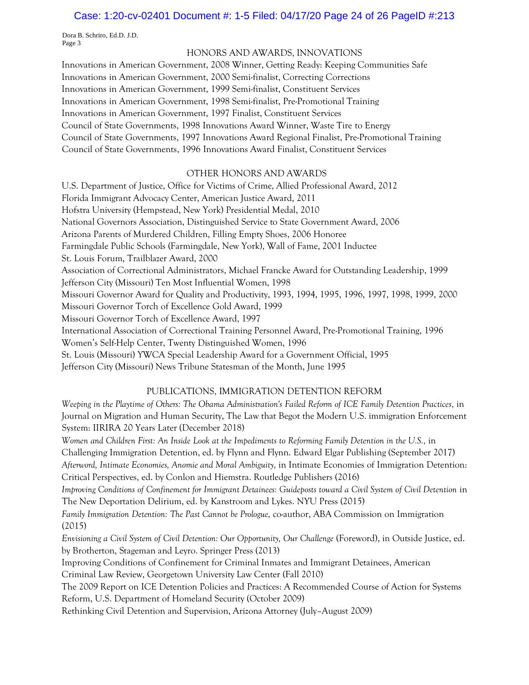#### Case: 1:20-cv-02401 Document #: 1-5 Filed: 04/17/20 Page 24 of 26 PageID #:213

Dora B. Schriro, Ed.D. J.D. Page 3

#### HONORS AND AWARDS, INNOVATIONS

Innovations in American Government, 2008 Winner, Getting Ready: Keeping Communities Safe Innovations in American Government, 2000 Semi-finalist, Correcting Corrections Innovations in American Government, 1999 Semi-finalist, Constituent Services Innovations in American Government, 1998 Semi-finalist, Pre-Promotional Training Innovations in American Government, 1997 Finalist, Constituent Services Council of State Governments, 1998 Innovations Award Winner, Waste Tire to Energy Council of State Governments, 1997 Innovations Award Regional Finalist, Pre-Promotional Training Council of State Governments, 1996 Innovations Award Finalist, Constituent Services

#### OTHER HONORS AND AWARDS

U.S. Department of Justice, Office for Victims of Crime, Allied Professional Award, 2012 Florida Immigrant Advocacy Center, American Justice Award, 2011 Hofstra University (Hempstead, New York) Presidential Medal, 2010 National Governors Association, Distinguished Service to State Government Award, 2006 Arizona Parents of Murdered Children, Filling Empty Shoes, 2006 Honoree Farmingdale Public Schools (Farmingdale, New York), Wall of Fame, 2001 Inductee St. Louis Forum, Trailblazer Award, 2000 Association of Correctional Administrators, Michael Francke Award for Outstanding Leadership, 1999 Jefferson City (Missouri) Ten Most Influential Women, 1998 Missouri Governor Award for Quality and Productivity, 1993, 1994, 1995, 1996, 1997, 1998, 1999, 2000 Missouri Governor Torch of Excellence Gold Award, 1999 Missouri Governor Torch of Excellence Award, 1997 International Association of Correctional Training Personnel Award, Pre-Promotional Training, 1996 Women's Self-Help Center, Twenty Distinguished Women, 1996 St. Louis (Missouri) YWCA Special Leadership Award for a Government Official, 1995 Jefferson City (Missouri) News Tribune Statesman of the Month, June 1995

#### PUBLICATIONS, IMMIGRATION DETENTION REFORM

*Weeping in the Playtime of Others: The Obama Administration's Failed Reform of ICE Family Detention Practices,* in Journal on Migration and Human Security, The Law that Begot the Modern U.S. immigration Enforcement System: IIRIRA 20 Years Later (December 2018)

*Women and Children First: An Inside Look at the Impediments to Reforming Family Detention in the U.S.,* in Challenging Immigration Detention, ed. by Flynn and Flynn. Edward Elgar Publishing (September 2017) *Afterword, Intimate Economies, Anomie and Moral Ambiguity,* in Intimate Economies of Immigration Detention: Critical Perspectives, ed. by Conlon and Hiemstra. Routledge Publishers (2016)

*Improving Conditions of Confinement for Immigrant Detainees: Guideposts toward a Civil System of Civil Detention in* The New Deportation Delirium, ed. by Kanstroom and Lykes. NYU Press (2015)

*Family Immigration Detention: The Past Cannot be Prologue,* co-author, ABA Commission on Immigration (2015)

*Envisioning a Civil System of Civil Detention: Our Opportunity, Our Challenge* (Foreword), in Outside Justice, ed. by Brotherton, Stageman and Leyro. Springer Press (2013)

Improving Conditions of Confinement for Criminal Inmates and Immigrant Detainees, American Criminal Law Review, Georgetown University Law Center (Fall 2010)

The 2009 Report on ICE Detention Policies and Practices: A Recommended Course of Action for Systems Reform, U.S. Department of Homeland Security (October 2009)

Rethinking Civil Detention and Supervision, Arizona Attorney (July–August 2009)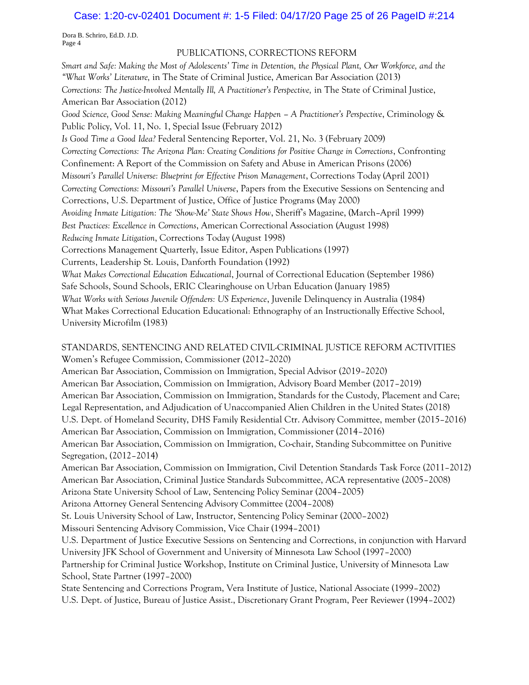#### Case: 1:20-cv-02401 Document #: 1-5 Filed: 04/17/20 Page 25 of 26 PageID #:214

Dora B. Schriro, Ed.D. J.D. Page 4

#### PUBLICATIONS, CORRECTIONS REFORM

*Smart and Safe: Making the Most of Adolescents' Time in Detention, the Physical Plant, Our Workforce, and the "What Works' Literature,* in The State of Criminal Justice, American Bar Association (2013) *Corrections: The Justice-Involved Mentally Ill, A Practitioner's Perspective,* in The State of Criminal Justice, American Bar Association (2012) *Good Science, Good Sense: Making Meaningful Change Happen – A Practitioner's Perspective*, Criminology & Public Policy, Vol. 11, No. 1, Special Issue (February 2012) *Is Good Time a Good Idea?* Federal Sentencing Reporter, Vol. 21, No. 3 (February 2009) *Correcting Corrections: The Arizona Plan: Creating Conditions for Positive Change in Corrections*, Confronting Confinement: A Report of the Commission on Safety and Abuse in American Prisons (2006) *Missouri's Parallel Universe: Blueprint for Effective Prison Management*, Corrections Today (April 2001) *Correcting Corrections: Missouri's Parallel Universe*, Papers from the Executive Sessions on Sentencing and Corrections, U.S. Department of Justice, Office of Justice Programs (May 2000) *Avoiding Inmate Litigation: The 'Show-Me' State Shows How*, Sheriff's Magazine, (March–April 1999) *Best Practices: Excellence in Corrections*, American Correctional Association (August 1998) *Reducing Inmate Litigation*, Corrections Today (August 1998) Corrections Management Quarterly, Issue Editor, Aspen Publications (1997) Currents, Leadership St. Louis, Danforth Foundation (1992) *What Makes Correctional Education Educational*, Journal of Correctional Education (September 1986) Safe Schools, Sound Schools, ERIC Clearinghouse on Urban Education (January 1985) *What Works with Serious Juvenile Offenders: US Experience*, Juvenile Delinquency in Australia (1984) What Makes Correctional Education Educational: Ethnography of an Instructionally Effective School, University Microfilm (1983) STANDARDS, SENTENCING AND RELATED CIVIL-CRIMINAL JUSTICE REFORM ACTIVITIES Women's Refugee Commission, Commissioner (2012–2020)

American Bar Association, Commission on Immigration, Special Advisor (2019–2020) American Bar Association, Commission on Immigration, Advisory Board Member (2017–2019) American Bar Association, Commission on Immigration, Standards for the Custody, Placement and Care; Legal Representation, and Adjudication of Unaccompanied Alien Children in the United States (2018) U.S. Dept. of Homeland Security, DHS Family Residential Ctr. Advisory Committee, member (2015–2016) American Bar Association, Commission on Immigration, Commissioner (2014–2016) American Bar Association, Commission on Immigration, Co-chair, Standing Subcommittee on Punitive Segregation, (2012–2014) American Bar Association, Commission on Immigration, Civil Detention Standards Task Force (2011–2012) American Bar Association, Criminal Justice Standards Subcommittee, ACA representative (2005–2008) Arizona State University School of Law, Sentencing Policy Seminar (2004–2005) Arizona Attorney General Sentencing Advisory Committee (2004–2008) St. Louis University School of Law, Instructor, Sentencing Policy Seminar (2000–2002) Missouri Sentencing Advisory Commission, Vice Chair (1994–2001) U.S. Department of Justice Executive Sessions on Sentencing and Corrections, in conjunction with Harvard University JFK School of Government and University of Minnesota Law School (1997–2000) Partnership for Criminal Justice Workshop, Institute on Criminal Justice, University of Minnesota Law School, State Partner (1997–2000) State Sentencing and Corrections Program, Vera Institute of Justice, National Associate (1999–2002) U.S. Dept. of Justice, Bureau of Justice Assist., Discretionary Grant Program, Peer Reviewer (1994–2002)